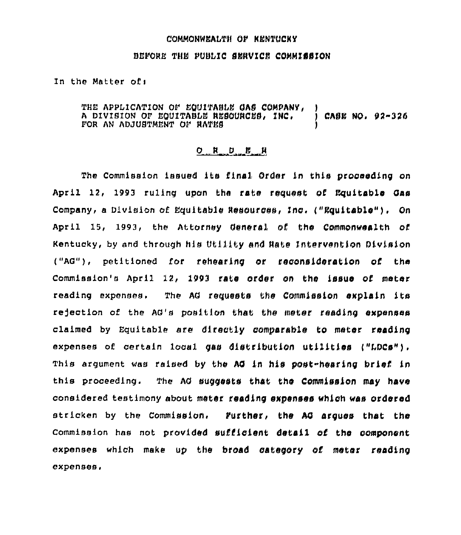## COMMONWEALTH OF KENTUCKY

## BEPORE THE PUBbIC SERVICE COMMISSION

## In the Matter of:

THE APPLICATION OF EQUITABLE GAS COMPANY, A DIVISION OF EQUITABLE RESOURCES, INC.  $\bigcirc$  CASE NO. 92-326 FOR AN ADJUSTMENT OF HATES

## $O$   $R$   $D$   $E$   $R$

The commission issued its final Order ln this proceeding on April 12, 1993 ruling upon the rate request of Equitable Oas company, a Division cf Equitable Resources, Inc. ("Equltab1e"). On April 15, 1993, the Attorney general of tho commonwealth cf Kentucky, by and through his Utility and Rate Intervention Division ("AG"), petitioned for rehearing or reconsideration cf tha Commission's April 12, 1993 rate order on the issue of meter reading expenses. The AG requests the Commission explain its rejection of the AG's position that the meter reading expenses claimed by Equitable are directly comparable to meter roading expenses of certain local gas distribution utilities ("LDCs"), This argument was raised by the AG in his post-hearing brief in this proceeding. The AO suggests that the Commission may have considered testimony about meter reading expenses which was ordered stricken by the Commission. Eurther, the AO argues that the Commission has not provided sufficient detail of the component expenses which make up the broad category of meter reading expenses.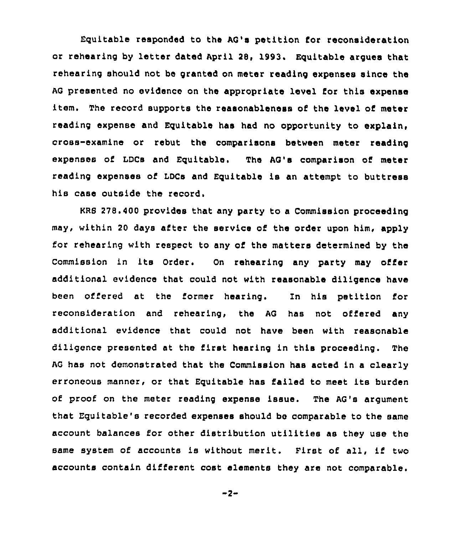Equitable responded to the AG's petition for reconsideration or rehearing by letter dated April 28, 1993. Equitable argues that rehearing should not be granted on meter reading expenses since the AG presented no evidence on the appropriate level for this expense item. The record supports the reasonableness of the level of meter reading expanse and Equitable has had no opportunity to explain, cross-examine or rebut the comparisons between meter reading expenses of LDCs and Equitable. The AG's comparison of meter reading expenses of LDCs and Equitable is an attempt to buttress his case outside the record.

KRB 278.400 provides that any party to a Commission proceeding may, within 20 days after the service of the order upon him, apply for rehearing with respect to any of the matters determined by the Commission in ite Order. On rehearing any party may offer additional evidence that could not with reasonable diligence have been offered at the former hearing. In his petition for reconsideration and rehearing, the AG has not offered any additional evidence that could not have been with reasonable diligence presented at the first hearing in this proceeding. The AG has not demonstrated that the Commission has acted in a clearly erroneous manner, or that Equitable has failed to meet its burden of proof on the meter reading expense issue. The AG's argument that Equitable's recorded expenses should be comparable to the same account balances for other distribution utilities as they use the same system of accounts is without merit. First of all, if two accounts contain different cost elements they are not comparable.

 $-2-$